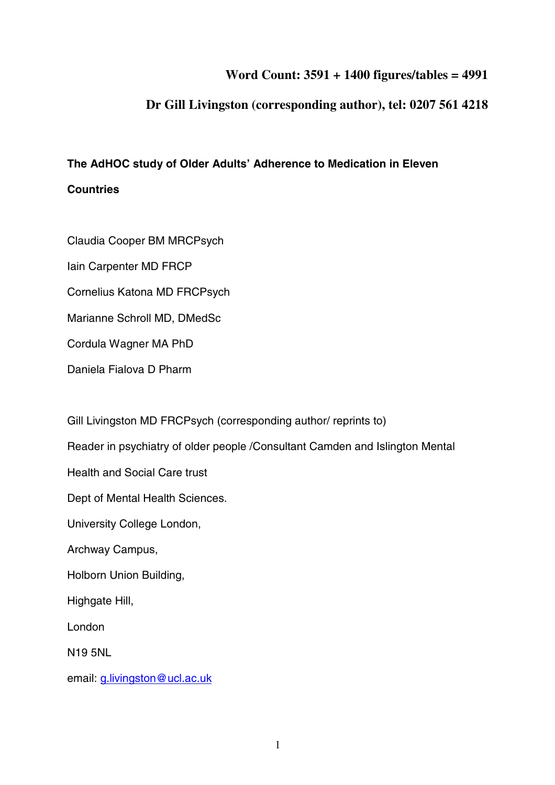# **Word Count: 3591 + 1400 figures/tables = 4991**

# **Dr Gill Livingston (corresponding author), tel: 0207 561 4218**

# **The AdHOC study of Older Adults' Adherence to Medication in Eleven**

## **Countries**

Claudia Cooper BM MRCPsych

Iain Carpenter MD FRCP

Cornelius Katona MD FRCPsych

Marianne Schroll MD, DMedSc

Cordula Wagner MA PhD

Daniela Fialova D Pharm

Gill Livingston MD FRCPsych (corresponding author/ reprints to)

Reader in psychiatry of older people /Consultant Camden and Islington Mental

Health and Social Care trust

Dept of Mental Health Sciences.

University College London,

Archway Campus,

Holborn Union Building,

Highgate Hill,

London

N19 5NL

email: g.livingston@ucl.ac.uk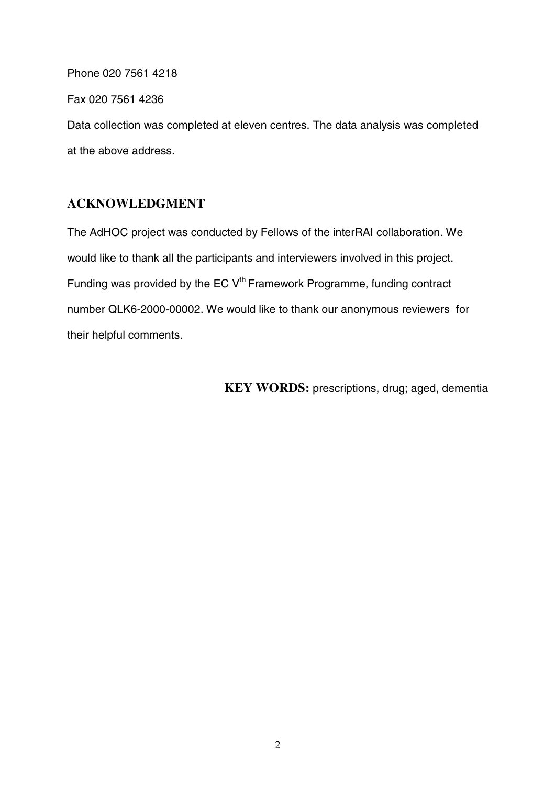Phone 020 7561 4218

Fax 020 7561 4236

Data collection was completed at eleven centres. The data analysis was completed at the above address.

# **ACKNOWLEDGMENT**

The AdHOC project was conducted by Fellows of the interRAI collaboration. We would like to thank all the participants and interviewers involved in this project. Funding was provided by the EC V<sup>th</sup> Framework Programme, funding contract number QLK6-2000-00002. We would like to thank our anonymous reviewers for their helpful comments.

**KEY WORDS:** prescriptions, drug; aged, dementia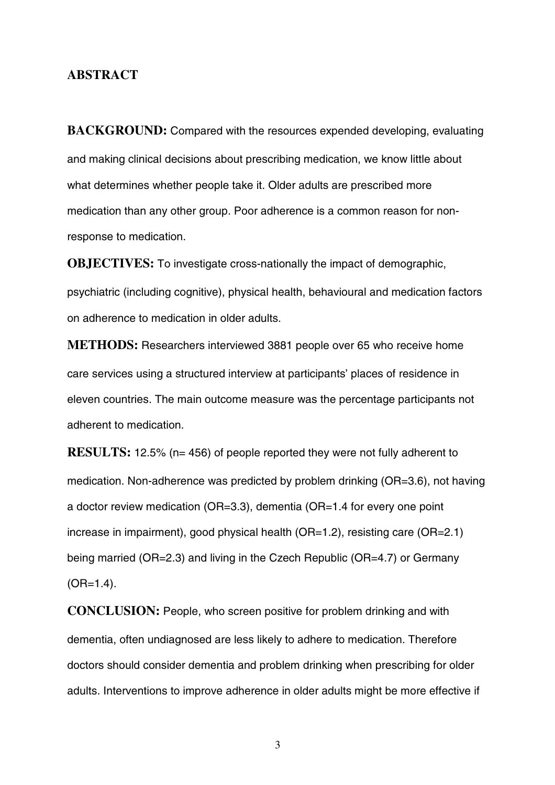## **ABSTRACT**

**BACKGROUND:** Compared with the resources expended developing, evaluating and making clinical decisions about prescribing medication, we know little about what determines whether people take it. Older adults are prescribed more medication than any other group. Poor adherence is a common reason for nonresponse to medication.

**OBJECTIVES:** To investigate cross-nationally the impact of demographic, psychiatric (including cognitive), physical health, behavioural and medication factors on adherence to medication in older adults.

**METHODS:** Researchers interviewed 3881 people over 65 who receive home care services using a structured interview at participants' places of residence in eleven countries. The main outcome measure was the percentage participants not adherent to medication.

**RESULTS:** 12.5% (n= 456) of people reported they were not fully adherent to medication. Non-adherence was predicted by problem drinking (OR=3.6), not having a doctor review medication (OR=3.3), dementia (OR=1.4 for every one point increase in impairment), good physical health (OR=1.2), resisting care (OR=2.1) being married (OR=2.3) and living in the Czech Republic (OR=4.7) or Germany  $(OR=1.4)$ .

**CONCLUSION:** People, who screen positive for problem drinking and with dementia, often undiagnosed are less likely to adhere to medication. Therefore doctors should consider dementia and problem drinking when prescribing for older adults. Interventions to improve adherence in older adults might be more effective if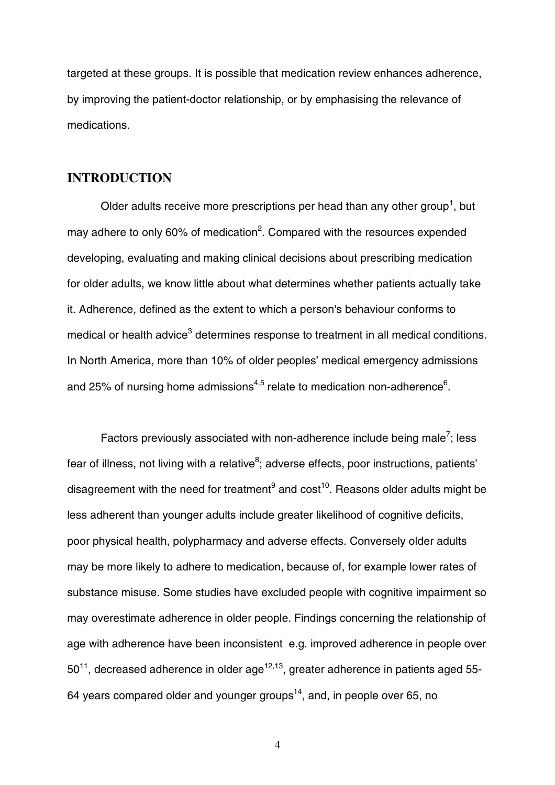targeted at these groups. It is possible that medication review enhances adherence, by improving the patient-doctor relationship, or by emphasising the relevance of medications.

## **INTRODUCTION**

Older adults receive more prescriptions per head than any other group<sup>1</sup>, but may adhere to only 60% of medication<sup>2</sup>. Compared with the resources expended developing, evaluating and making clinical decisions about prescribing medication for older adults, we know little about what determines whether patients actually take it. Adherence, defined as the extent to which a person's behaviour conforms to medical or health advice $^3$  determines response to treatment in all medical conditions. In North America, more than 10% of older peoples' medical emergency admissions and 25% of nursing home admissions $^{4,5}$  relate to medication non-adherence $^6$ .

Factors previously associated with non-adherence include being male<sup>7</sup>; less fear of illness, not living with a relative<sup>8</sup>; adverse effects, poor instructions, patients' disagreement with the need for treatment<sup>9</sup> and  $cost^{10}$ . Reasons older adults might be less adherent than younger adults include greater likelihood of cognitive deficits, poor physical health, polypharmacy and adverse effects. Conversely older adults may be more likely to adhere to medication, because of, for example lower rates of substance misuse. Some studies have excluded people with cognitive impairment so may overestimate adherence in older people. Findings concerning the relationship of age with adherence have been inconsistent e.g. improved adherence in people over  $50^{11}$ , decreased adherence in older age<sup>12,13</sup>, greater adherence in patients aged 55-64 years compared older and younger groups<sup>14</sup>, and, in people over 65, no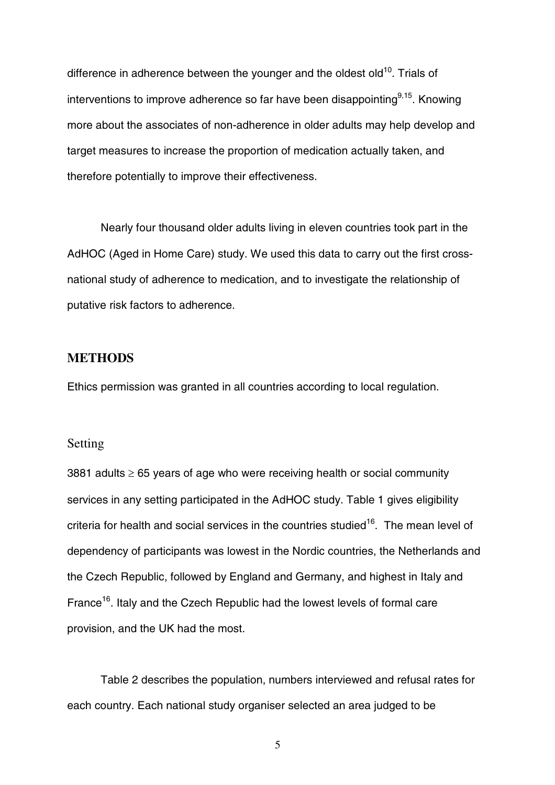difference in adherence between the younger and the oldest old<sup>10</sup>. Trials of interventions to improve adherence so far have been disappointing  $9,15$ . Knowing more about the associates of non-adherence in older adults may help develop and target measures to increase the proportion of medication actually taken, and therefore potentially to improve their effectiveness.

Nearly four thousand older adults living in eleven countries took part in the AdHOC (Aged in Home Care) study. We used this data to carry out the first crossnational study of adherence to medication, and to investigate the relationship of putative risk factors to adherence.

## **METHODS**

Ethics permission was granted in all countries according to local regulation.

#### Setting

3881 adults  $\geq$  65 years of age who were receiving health or social community services in any setting participated in the AdHOC study. Table 1 gives eligibility criteria for health and social services in the countries studied<sup>16</sup>. The mean level of dependency of participants was lowest in the Nordic countries, the Netherlands and the Czech Republic, followed by England and Germany, and highest in Italy and France<sup>16</sup>. Italy and the Czech Republic had the lowest levels of formal care provision, and the UK had the most.

Table 2 describes the population, numbers interviewed and refusal rates for each country. Each national study organiser selected an area judged to be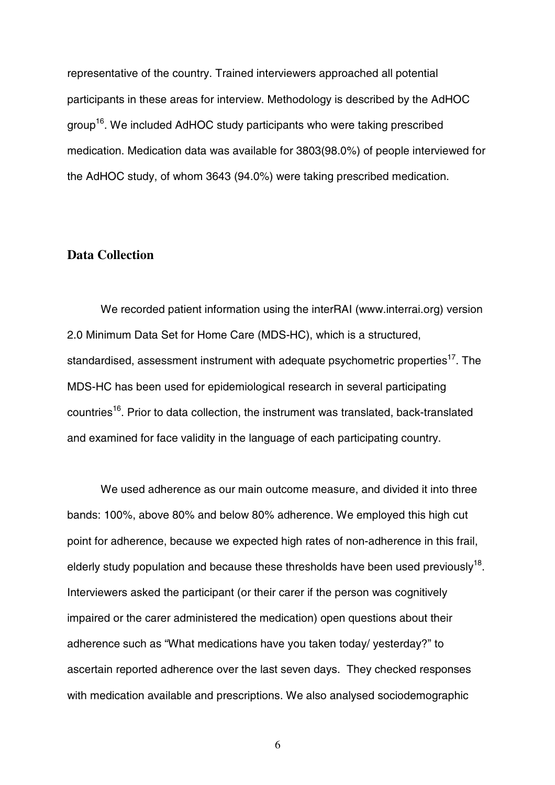representative of the country. Trained interviewers approached all potential participants in these areas for interview. Methodology is described by the AdHOC group16. We included AdHOC study participants who were taking prescribed medication. Medication data was available for 3803(98.0%) of people interviewed for the AdHOC study, of whom 3643 (94.0%) were taking prescribed medication.

## **Data Collection**

We recorded patient information using the interRAI (www.interrai.org) version 2.0 Minimum Data Set for Home Care (MDS-HC), which is a structured, standardised, assessment instrument with adequate psychometric properties<sup>17</sup>. The MDS-HC has been used for epidemiological research in several participating countries<sup>16</sup>. Prior to data collection, the instrument was translated, back-translated and examined for face validity in the language of each participating country.

We used adherence as our main outcome measure, and divided it into three bands: 100%, above 80% and below 80% adherence. We employed this high cut point for adherence, because we expected high rates of non-adherence in this frail, elderly study population and because these thresholds have been used previously<sup>18</sup>. Interviewers asked the participant (or their carer if the person was cognitively impaired or the carer administered the medication) open questions about their adherence such as "What medications have you taken today/ yesterday?" to ascertain reported adherence over the last seven days. They checked responses with medication available and prescriptions. We also analysed sociodemographic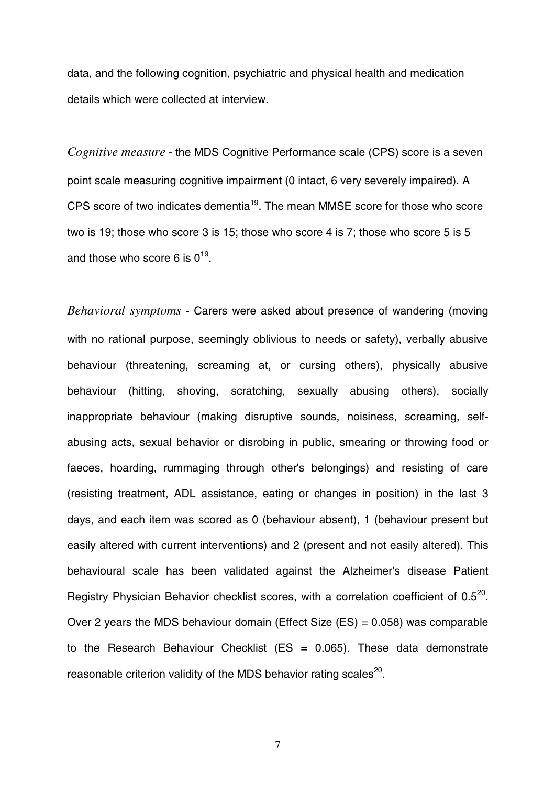data, and the following cognition, psychiatric and physical health and medication details which were collected at interview.

*Cognitive measure* - the MDS Cognitive Performance scale (CPS) score is a seven point scale measuring cognitive impairment (0 intact, 6 very severely impaired). A CPS score of two indicates dementia19. The mean MMSE score for those who score two is 19; those who score 3 is 15; those who score 4 is 7; those who score 5 is 5 and those who score 6 is  $0^{19}$ .

*Behavioral symptoms* - Carers were asked about presence of wandering (moving with no rational purpose, seemingly oblivious to needs or safety), verbally abusive behaviour (threatening, screaming at, or cursing others), physically abusive behaviour (hitting, shoving, scratching, sexually abusing others), socially inappropriate behaviour (making disruptive sounds, noisiness, screaming, selfabusing acts, sexual behavior or disrobing in public, smearing or throwing food or faeces, hoarding, rummaging through other's belongings) and resisting of care (resisting treatment, ADL assistance, eating or changes in position) in the last 3 days, and each item was scored as 0 (behaviour absent), 1 (behaviour present but easily altered with current interventions) and 2 (present and not easily altered). This behavioural scale has been validated against the Alzheimer's disease Patient Registry Physician Behavior checklist scores, with a correlation coefficient of 0.5<sup>20</sup>. Over 2 years the MDS behaviour domain (Effect Size (ES) = 0.058) was comparable to the Research Behaviour Checklist (ES =  $0.065$ ). These data demonstrate reasonable criterion validity of the MDS behavior rating scales $^{20}$ .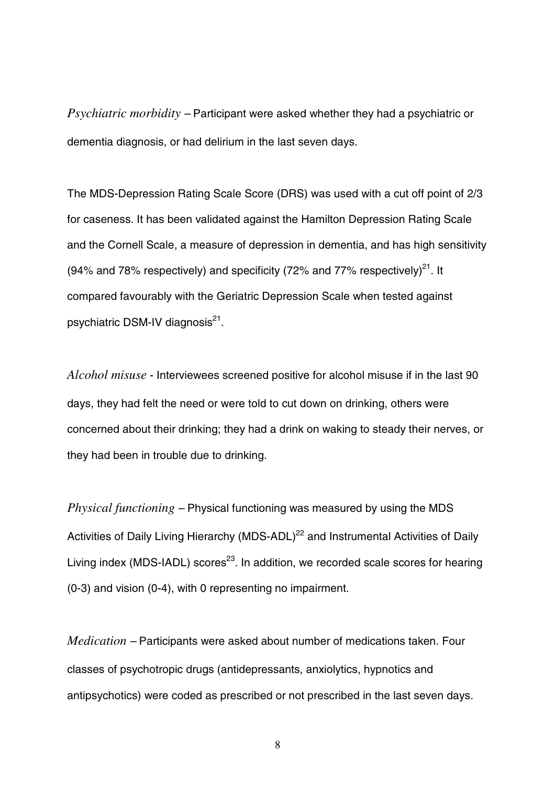*Psychiatric morbidity –* Participant were asked whether they had a psychiatric or dementia diagnosis, or had delirium in the last seven days.

The MDS-Depression Rating Scale Score (DRS) was used with a cut off point of 2/3 for caseness. It has been validated against the Hamilton Depression Rating Scale and the Cornell Scale, a measure of depression in dementia, and has high sensitivity (94% and 78% respectively) and specificity (72% and 77% respectively)<sup>21</sup>. It compared favourably with the Geriatric Depression Scale when tested against psychiatric DSM-IV diagnosis $^{21}$ .

*Alcohol misuse* - Interviewees screened positive for alcohol misuse if in the last 90 days, they had felt the need or were told to cut down on drinking, others were concerned about their drinking; they had a drink on waking to steady their nerves, or they had been in trouble due to drinking.

*Physical functioning –* Physical functioning was measured by using the MDS Activities of Daily Living Hierarchy (MDS-ADL)<sup>22</sup> and Instrumental Activities of Daily Living index (MDS-IADL) scores<sup>23</sup>. In addition, we recorded scale scores for hearing (0-3) and vision (0-4), with 0 representing no impairment.

*Medication –* Participants were asked about number of medications taken. Four classes of psychotropic drugs (antidepressants, anxiolytics, hypnotics and antipsychotics) were coded as prescribed or not prescribed in the last seven days.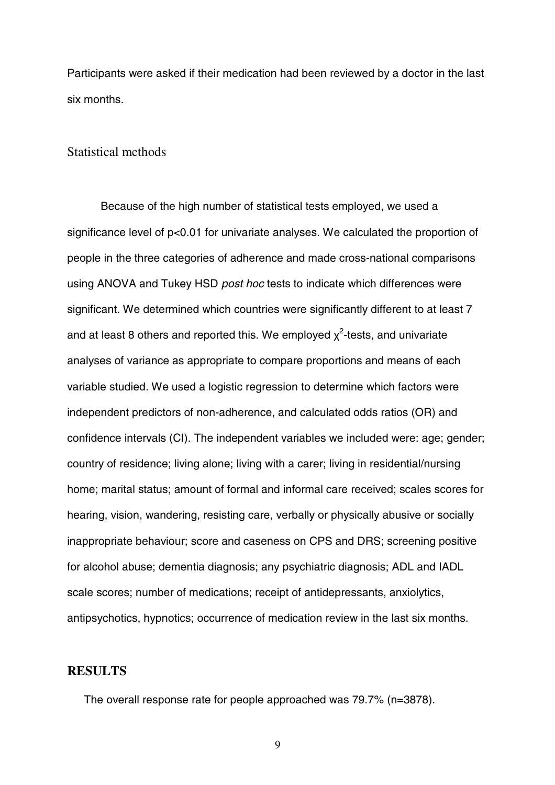Participants were asked if their medication had been reviewed by a doctor in the last six months.

#### Statistical methods

Because of the high number of statistical tests employed, we used a significance level of p<0.01 for univariate analyses. We calculated the proportion of people in the three categories of adherence and made cross-national comparisons using ANOVA and Tukey HSD *post hoc* tests to indicate which differences were significant. We determined which countries were significantly different to at least 7 and at least 8 others and reported this. We employed  $\chi^2$ -tests, and univariate analyses of variance as appropriate to compare proportions and means of each variable studied. We used a logistic regression to determine which factors were independent predictors of non-adherence, and calculated odds ratios (OR) and confidence intervals (CI). The independent variables we included were: age; gender; country of residence; living alone; living with a carer; living in residential/nursing home; marital status; amount of formal and informal care received; scales scores for hearing, vision, wandering, resisting care, verbally or physically abusive or socially inappropriate behaviour; score and caseness on CPS and DRS; screening positive for alcohol abuse; dementia diagnosis; any psychiatric diagnosis; ADL and IADL scale scores; number of medications; receipt of antidepressants, anxiolytics, antipsychotics, hypnotics; occurrence of medication review in the last six months.

#### **RESULTS**

The overall response rate for people approached was 79.7% (n=3878).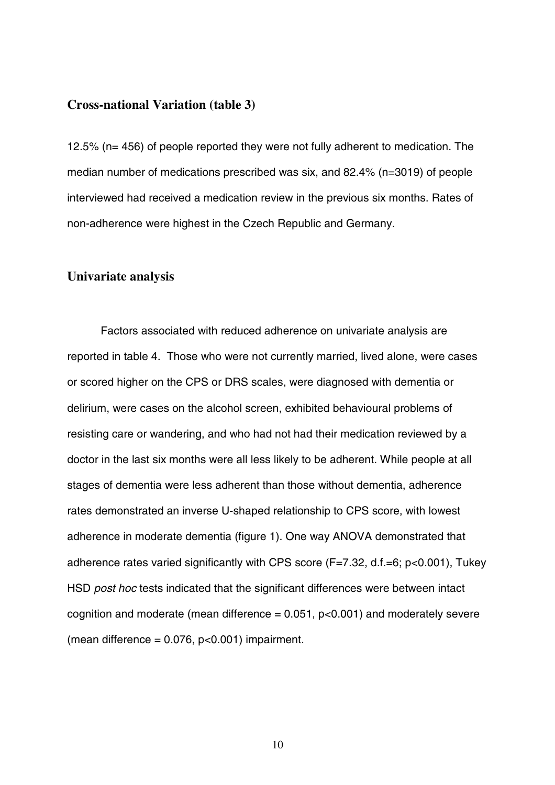#### **Cross-national Variation (table 3)**

12.5% (n= 456) of people reported they were not fully adherent to medication. The median number of medications prescribed was six, and 82.4% (n=3019) of people interviewed had received a medication review in the previous six months. Rates of non-adherence were highest in the Czech Republic and Germany.

#### **Univariate analysis**

Factors associated with reduced adherence on univariate analysis are reported in table 4. Those who were not currently married, lived alone, were cases or scored higher on the CPS or DRS scales, were diagnosed with dementia or delirium, were cases on the alcohol screen, exhibited behavioural problems of resisting care or wandering, and who had not had their medication reviewed by a doctor in the last six months were all less likely to be adherent. While people at all stages of dementia were less adherent than those without dementia, adherence rates demonstrated an inverse U-shaped relationship to CPS score, with lowest adherence in moderate dementia (figure 1). One way ANOVA demonstrated that adherence rates varied significantly with CPS score (F=7.32, d.f.=6; p<0.001), Tukey HSD *post hoc* tests indicated that the significant differences were between intact cognition and moderate (mean difference  $= 0.051$ ,  $p < 0.001$ ) and moderately severe (mean difference =  $0.076$ ,  $p<0.001$ ) impairment.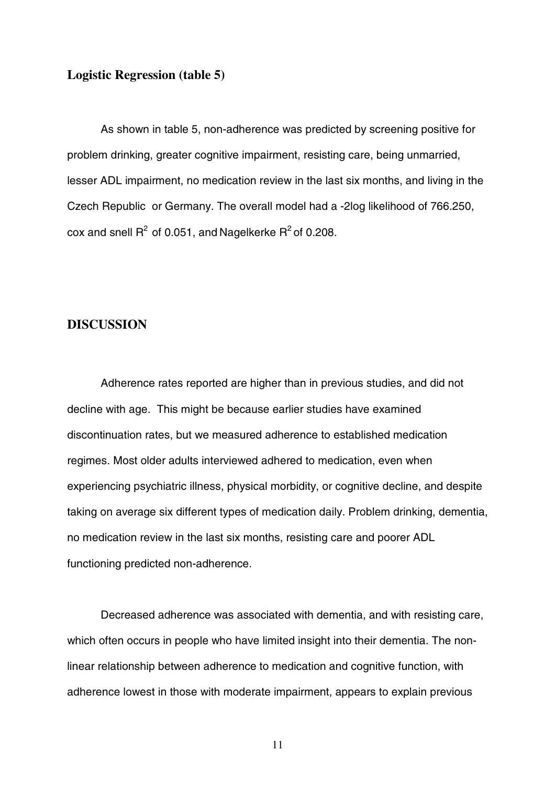## **Logistic Regression (table 5)**

As shown in table 5, non-adherence was predicted by screening positive for problem drinking, greater cognitive impairment, resisting care, being unmarried, lesser ADL impairment, no medication review in the last six months, and living in the Czech Republic or Germany. The overall model had a -2log likelihood of 766.250, cox and snell  $R^2$  of 0.051, and Nagelkerke  $R^2$  of 0.208.

## **DISCUSSION**

Adherence rates reported are higher than in previous studies, and did not decline with age. This might be because earlier studies have examined discontinuation rates, but we measured adherence to established medication regimes. Most older adults interviewed adhered to medication, even when experiencing psychiatric illness, physical morbidity, or cognitive decline, and despite taking on average six different types of medication daily. Problem drinking, dementia, no medication review in the last six months, resisting care and poorer ADL functioning predicted non-adherence.

Decreased adherence was associated with dementia, and with resisting care, which often occurs in people who have limited insight into their dementia. The nonlinear relationship between adherence to medication and cognitive function, with adherence lowest in those with moderate impairment, appears to explain previous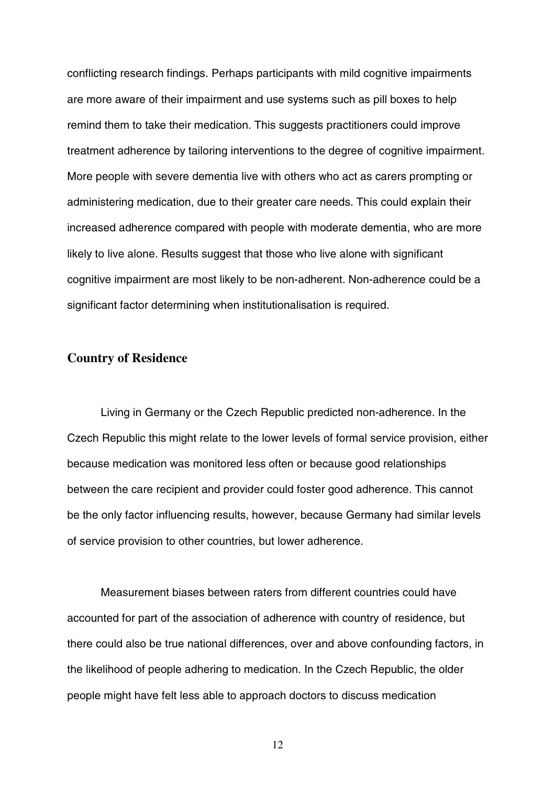conflicting research findings. Perhaps participants with mild cognitive impairments are more aware of their impairment and use systems such as pill boxes to help remind them to take their medication. This suggests practitioners could improve treatment adherence by tailoring interventions to the degree of cognitive impairment. More people with severe dementia live with others who act as carers prompting or administering medication, due to their greater care needs. This could explain their increased adherence compared with people with moderate dementia, who are more likely to live alone. Results suggest that those who live alone with significant cognitive impairment are most likely to be non-adherent. Non-adherence could be a significant factor determining when institutionalisation is required.

#### **Country of Residence**

Living in Germany or the Czech Republic predicted non-adherence. In the Czech Republic this might relate to the lower levels of formal service provision, either because medication was monitored less often or because good relationships between the care recipient and provider could foster good adherence. This cannot be the only factor influencing results, however, because Germany had similar levels of service provision to other countries, but lower adherence.

Measurement biases between raters from different countries could have accounted for part of the association of adherence with country of residence, but there could also be true national differences, over and above confounding factors, in the likelihood of people adhering to medication. In the Czech Republic, the older people might have felt less able to approach doctors to discuss medication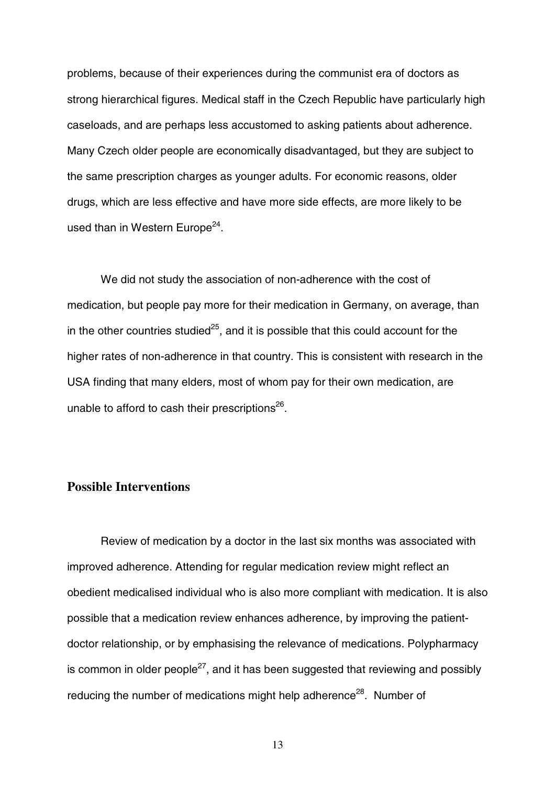problems, because of their experiences during the communist era of doctors as strong hierarchical figures. Medical staff in the Czech Republic have particularly high caseloads, and are perhaps less accustomed to asking patients about adherence. Many Czech older people are economically disadvantaged, but they are subject to the same prescription charges as younger adults. For economic reasons, older drugs, which are less effective and have more side effects, are more likely to be used than in Western Europe<sup>24</sup>.

We did not study the association of non-adherence with the cost of medication, but people pay more for their medication in Germany, on average, than in the other countries studied<sup>25</sup>, and it is possible that this could account for the higher rates of non-adherence in that country. This is consistent with research in the USA finding that many elders, most of whom pay for their own medication, are unable to afford to cash their prescriptions $26$ .

## **Possible Interventions**

Review of medication by a doctor in the last six months was associated with improved adherence. Attending for regular medication review might reflect an obedient medicalised individual who is also more compliant with medication. It is also possible that a medication review enhances adherence, by improving the patientdoctor relationship, or by emphasising the relevance of medications. Polypharmacy is common in older people<sup>27</sup>, and it has been suggested that reviewing and possibly reducing the number of medications might help adherence<sup>28</sup>. Number of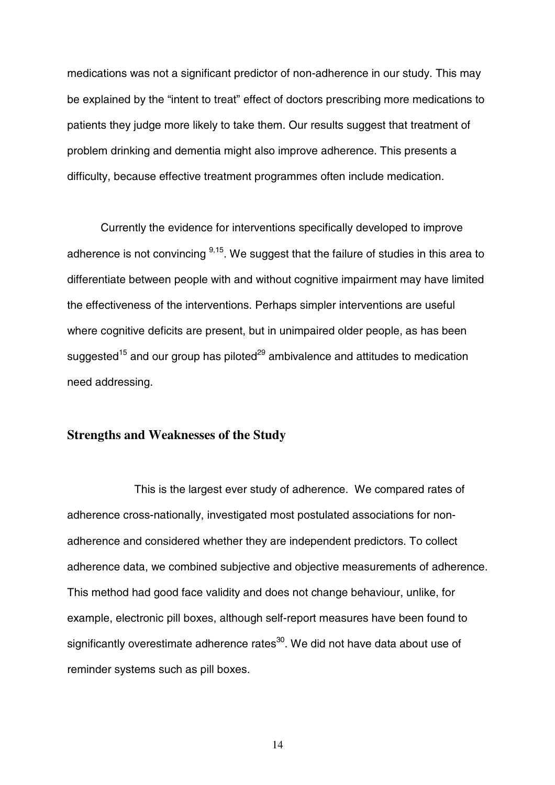medications was not a significant predictor of non-adherence in our study. This may be explained by the "intent to treat" effect of doctors prescribing more medications to patients they judge more likely to take them. Our results suggest that treatment of problem drinking and dementia might also improve adherence. This presents a difficulty, because effective treatment programmes often include medication.

Currently the evidence for interventions specifically developed to improve adherence is not convincing  $9,15$ . We suggest that the failure of studies in this area to differentiate between people with and without cognitive impairment may have limited the effectiveness of the interventions. Perhaps simpler interventions are useful where cognitive deficits are present, but in unimpaired older people, as has been suggested<sup>15</sup> and our group has piloted<sup>29</sup> ambivalence and attitudes to medication need addressing.

#### **Strengths and Weaknesses of the Study**

This is the largest ever study of adherence. We compared rates of adherence cross-nationally, investigated most postulated associations for nonadherence and considered whether they are independent predictors. To collect adherence data, we combined subjective and objective measurements of adherence. This method had good face validity and does not change behaviour, unlike, for example, electronic pill boxes, although self-report measures have been found to significantly overestimate adherence rates<sup>30</sup>. We did not have data about use of reminder systems such as pill boxes.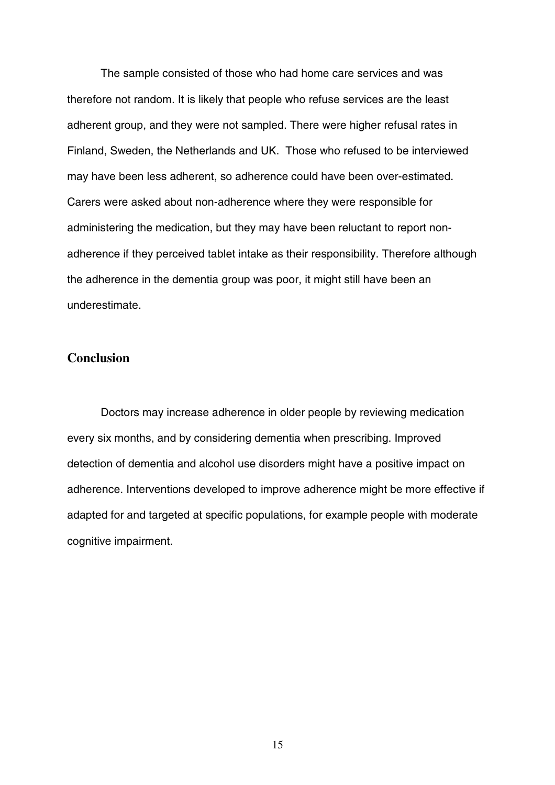The sample consisted of those who had home care services and was therefore not random. It is likely that people who refuse services are the least adherent group, and they were not sampled. There were higher refusal rates in Finland, Sweden, the Netherlands and UK. Those who refused to be interviewed may have been less adherent, so adherence could have been over-estimated. Carers were asked about non-adherence where they were responsible for administering the medication, but they may have been reluctant to report nonadherence if they perceived tablet intake as their responsibility. Therefore although the adherence in the dementia group was poor, it might still have been an underestimate.

## **Conclusion**

Doctors may increase adherence in older people by reviewing medication every six months, and by considering dementia when prescribing. Improved detection of dementia and alcohol use disorders might have a positive impact on adherence. Interventions developed to improve adherence might be more effective if adapted for and targeted at specific populations, for example people with moderate cognitive impairment.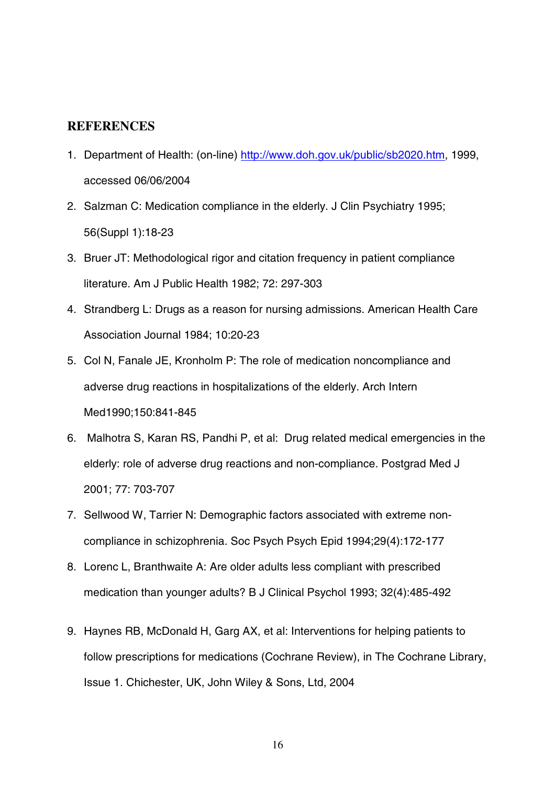#### **REFERENCES**

- 1. Department of Health: (on-line) [http://www.doh.gov.uk/public/sb2020.htm,](http://www.doh.gov.uk/public/sb2020.htm) 1999, accessed 06/06/2004
- 2. Salzman C: Medication compliance in the elderly. J Clin Psychiatry 1995; 56(Suppl 1):18-23
- 3. Bruer JT: Methodological rigor and citation frequency in patient compliance literature. Am J Public Health 1982; 72: 297-303
- 4. Strandberg L: Drugs as a reason for nursing admissions. American Health Care Association Journal 1984; 10:20-23
- 5. Col N, Fanale JE, Kronholm P: The role of medication noncompliance and adverse drug reactions in hospitalizations of the elderly. Arch Intern Med1990;150:841-845
- 6. Malhotra S, Karan RS, Pandhi P, et al: Drug related medical emergencies in the elderly: role of adverse drug reactions and non-compliance. Postgrad Med J 2001; 77: 703-707
- 7. Sellwood W, Tarrier N: Demographic factors associated with extreme noncompliance in schizophrenia. Soc Psych Psych Epid 1994;29(4):172-177
- 8. Lorenc L, Branthwaite A: Are older adults less compliant with prescribed medication than younger adults? B J Clinical Psychol 1993; 32(4):485-492
- 9. Haynes RB, McDonald H, Garg AX, et al: Interventions for helping patients to follow prescriptions for medications (Cochrane Review), in The Cochrane Library, Issue 1. Chichester, UK, John Wiley & Sons, Ltd, 2004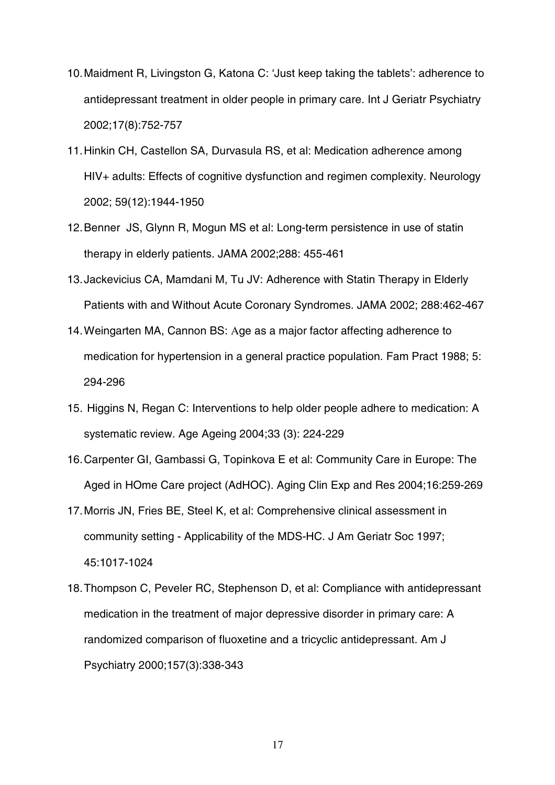- 10.Maidment R, Livingston G, Katona C: 'Just keep taking the tablets': adherence to antidepressant treatment in older people in primary care. Int J Geriatr Psychiatry 2002;17(8):752-757
- 11.Hinkin CH, Castellon SA, Durvasula RS, et al: Medication adherence among HIV+ adults: Effects of cognitive dysfunction and regimen complexity. Neurology 2002; 59(12):1944-1950
- 12.Benner JS, Glynn R, Mogun MS et al: Long-term persistence in use of statin therapy in elderly patients. JAMA 2002;288: 455-461
- 13.Jackevicius CA, Mamdani M, Tu JV: Adherence with Statin Therapy in Elderly Patients with and Without Acute Coronary Syndromes. JAMA 2002; 288:462-467
- 14.Weingarten MA, Cannon BS: Age as a major factor affecting adherence to medication for hypertension in a general practice population. Fam Pract 1988; 5: 294-296
- 15. Higgins N, Regan C: Interventions to help older people adhere to medication: A systematic review. Age Ageing 2004;33 (3): 224-229
- 16.Carpenter GI, Gambassi G, Topinkova E et al: Community Care in Europe: The Aged in HOme Care project (AdHOC). Aging Clin Exp and Res 2004;16:259-269
- 17.Morris JN, Fries BE, Steel K, et al: Comprehensive clinical assessment in community setting - Applicability of the MDS-HC. J Am Geriatr Soc 1997; 45:1017-1024
- 18.Thompson C, Peveler RC, Stephenson D, et al: Compliance with antidepressant medication in the treatment of major depressive disorder in primary care: A randomized comparison of fluoxetine and a tricyclic antidepressant. Am J Psychiatry 2000;157(3):338-343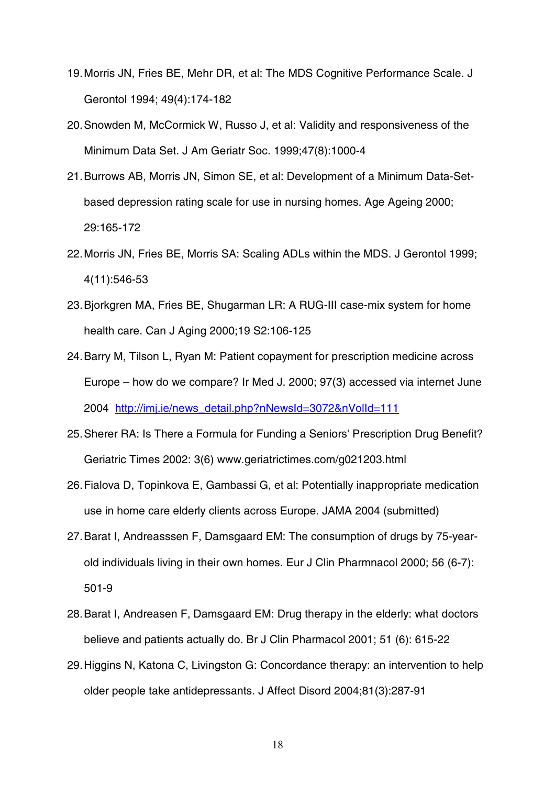- 19.Morris JN, Fries BE, Mehr DR, et al: The MDS Cognitive Performance Scale. J Gerontol 1994; 49(4):174-182
- 20.Snowden M, McCormick W, Russo J, et al: Validity and responsiveness of the Minimum Data Set. J Am Geriatr Soc. 1999;47(8):1000-4
- 21.Burrows AB, Morris JN, Simon SE, et al: Development of a Minimum Data-Setbased depression rating scale for use in nursing homes. Age Ageing 2000; 29:165-172
- 22.Morris JN, Fries BE, Morris SA: Scaling ADLs within the MDS. J Gerontol 1999; 4(11):546-53
- 23.Bjorkgren MA, Fries BE, Shugarman LR: A RUG-III case-mix system for home health care. Can J Aging 2000;19 S2:106-125
- 24.Barry M, Tilson L, Ryan M: Patient copayment for prescription medicine across Europe – how do we compare? Ir Med J. 2000; 97(3) accessed via internet June 2004 [http://imj.ie/news\\_detail.php?nNewsId=3072&nVolId=111](http://imj.ie/news_detail.php?nNewsId=3072&nVolId=111)
- 25.Sherer RA: Is There a Formula for Funding a Seniors' Prescription Drug Benefit? Geriatric Times 2002: 3(6) www.geriatrictimes.com/g021203.html
- 26.Fialova D, Topinkova E, Gambassi G, et al: Potentially inappropriate medication use in home care elderly clients across Europe. JAMA 2004 (submitted)
- 27.Barat I, Andreasssen F, Damsgaard EM: The consumption of drugs by 75-yearold individuals living in their own homes. Eur J Clin Pharmnacol 2000; 56 (6-7): 501-9
- 28.Barat I, Andreasen F, Damsgaard EM: Drug therapy in the elderly: what doctors believe and patients actually do. Br J Clin Pharmacol 2001; 51 (6): 615-22
- 29.Higgins N, Katona C, Livingston G: Concordance therapy: an intervention to help older people take antidepressants. J Affect Disord 2004;81(3):287-91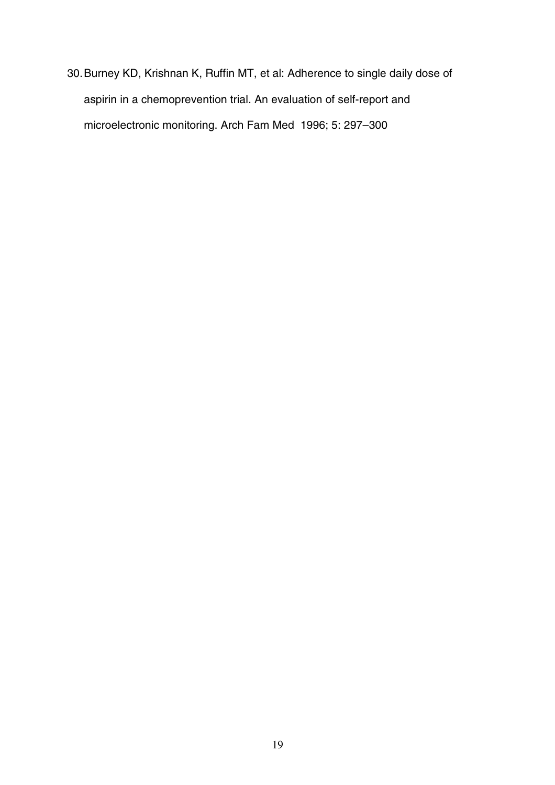30.Burney KD, Krishnan K, Ruffin MT, et al: Adherence to single daily dose of aspirin in a chemoprevention trial. An evaluation of self-report and microelectronic monitoring. Arch Fam Med 1996; 5: 297–300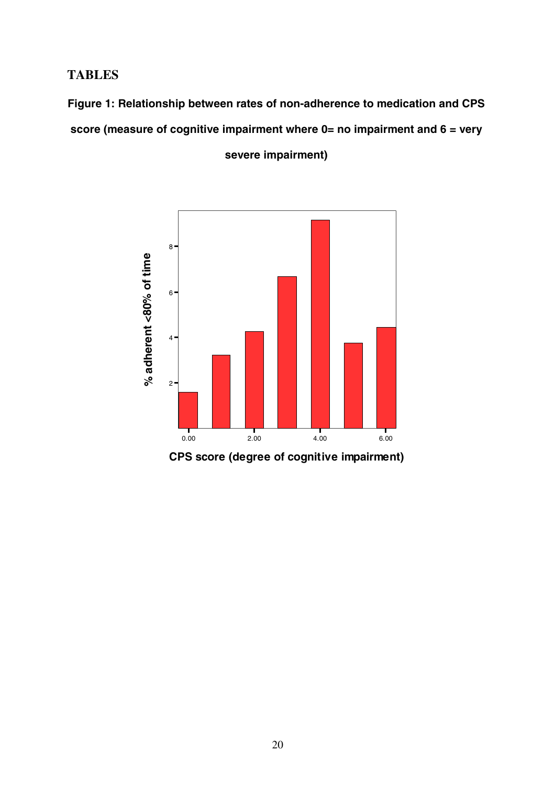# **TABLES**

**Figure 1: Relationship between rates of non-adherence to medication and CPS score (measure of cognitive impairment where 0= no impairment and 6 = very** 



**severe impairment)**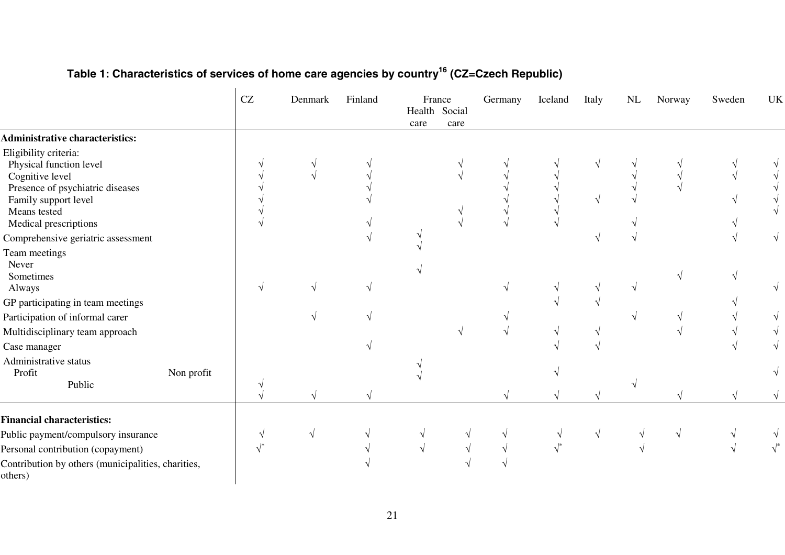|                                                               |            | CZ                     | Denmark    | Finland | France<br>Health Social<br>care | care       | Germany       | Iceland | Italy | $\ensuremath{\text{NL}}\xspace$ | Norway | Sweden | UK |
|---------------------------------------------------------------|------------|------------------------|------------|---------|---------------------------------|------------|---------------|---------|-------|---------------------------------|--------|--------|----|
| <b>Administrative characteristics:</b>                        |            |                        |            |         |                                 |            |               |         |       |                                 |        |        |    |
| Eligibility criteria:                                         |            |                        |            |         |                                 |            |               |         |       |                                 |        |        |    |
| Physical function level                                       |            |                        |            |         |                                 |            |               |         |       |                                 |        |        |    |
| Cognitive level                                               |            |                        |            |         |                                 |            |               |         |       |                                 |        |        |    |
| Presence of psychiatric diseases<br>Family support level      |            |                        |            |         |                                 |            |               |         |       |                                 |        |        |    |
| Means tested                                                  |            |                        |            |         |                                 |            |               |         |       |                                 |        |        |    |
| Medical prescriptions                                         |            |                        |            |         |                                 |            |               |         |       |                                 |        |        |    |
| Comprehensive geriatric assessment                            |            |                        |            |         |                                 |            |               |         |       |                                 |        |        |    |
| Team meetings                                                 |            |                        |            |         |                                 |            |               |         |       |                                 |        |        |    |
| Never                                                         |            |                        |            |         |                                 |            |               |         |       |                                 |        |        |    |
| Sometimes                                                     |            |                        |            |         |                                 |            |               |         |       |                                 |        |        |    |
| Always                                                        |            |                        |            |         |                                 |            |               |         |       |                                 |        |        |    |
| GP participating in team meetings                             |            |                        |            |         |                                 |            |               |         |       |                                 |        |        |    |
| Participation of informal carer                               |            |                        |            |         |                                 |            |               |         |       |                                 |        |        |    |
| Multidisciplinary team approach                               |            |                        |            |         |                                 |            |               |         |       |                                 |        |        |    |
| Case manager                                                  |            |                        |            |         |                                 |            |               |         |       |                                 |        |        |    |
| Administrative status                                         |            |                        |            |         |                                 |            |               |         |       |                                 |        |        |    |
| Profit                                                        | Non profit |                        |            |         |                                 |            |               |         |       |                                 |        |        |    |
| Public                                                        |            |                        |            |         |                                 |            |               |         |       |                                 |        |        |    |
| <b>Financial characteristics:</b>                             |            |                        |            |         |                                 |            |               |         |       |                                 |        |        |    |
| Public payment/compulsory insurance                           |            |                        | $\sqrt{ }$ |         | $\sqrt{}$                       | $\sqrt{ }$ | $\mathcal{N}$ |         |       |                                 |        |        |    |
| Personal contribution (copayment)                             |            | $\sqrt{\phantom{a}^*}$ |            |         | $\sqrt{ }$                      |            |               |         |       |                                 |        |        |    |
| Contribution by others (municipalities, charities,<br>others) |            |                        |            |         |                                 |            |               |         |       |                                 |        |        |    |

## **Table 1: Characteristics of services of home care agencies by country<sup>16</sup> (CZ=Czech Republic)**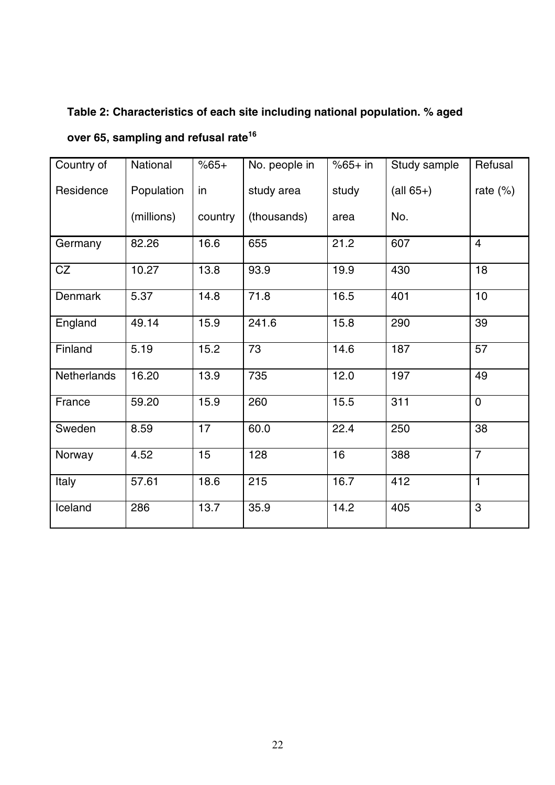# **Table 2: Characteristics of each site including national population. % aged**

| Country of  | National   | $%65+$  | No. people in | $%65+$ in | Study sample                      | Refusal        |
|-------------|------------|---------|---------------|-----------|-----------------------------------|----------------|
| Residence   | Population | in      | study area    | study     | $\left( \text{all } 65 + \right)$ | rate $(\%)$    |
|             | (millions) | country | (thousands)   | area      | No.                               |                |
| Germany     | 82.26      | 16.6    | 655           | 21.2      | 607                               | $\overline{4}$ |
| CZ          | 10.27      | 13.8    | 93.9          | 19.9      | 430                               | 18             |
| Denmark     | 5.37       | 14.8    | 71.8          | 16.5      | 401                               | 10             |
| England     | 49.14      | 15.9    | 241.6         | 15.8      | 290                               | 39             |
| Finland     | 5.19       | 15.2    | 73            | 14.6      | 187                               | 57             |
| Netherlands | 16.20      | 13.9    | 735           | 12.0      | 197                               | 49             |
| France      | 59.20      | 15.9    | 260           | 15.5      | 311                               | $\mathbf 0$    |
| Sweden      | 8.59       | 17      | 60.0          | 22.4      | 250                               | 38             |
| Norway      | 4.52       | 15      | 128           | 16        | 388                               | $\overline{7}$ |
| Italy       | 57.61      | 18.6    | 215           | 16.7      | 412                               | $\mathbf{1}$   |
| Iceland     | 286        | 13.7    | 35.9          | 14.2      | 405                               | 3              |

**over 65, sampling and refusal rate<sup>16</sup>**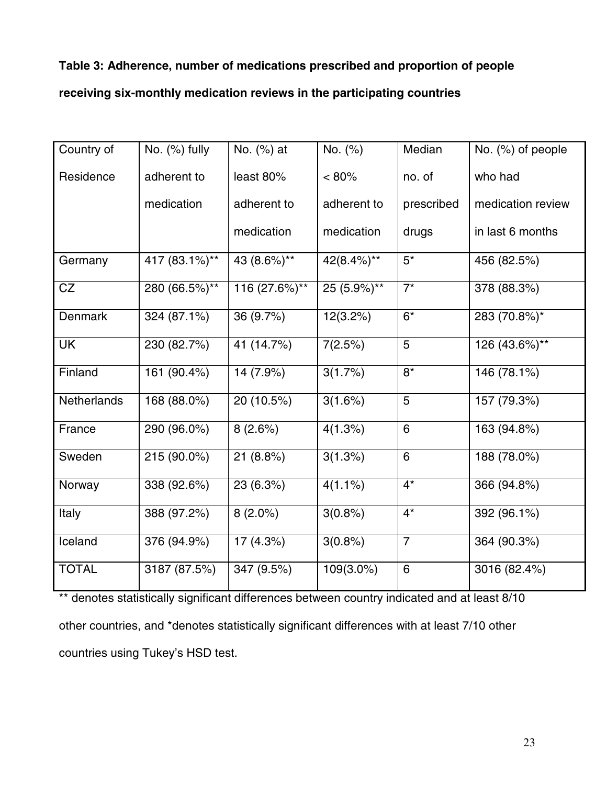## **Table 3: Adherence, number of medications prescribed and proportion of people**

## **receiving six-monthly medication reviews in the participating countries**

| Country of         | No. (%) fully | No. (%) at             | No. (%)     | Median         | No. (%) of people |
|--------------------|---------------|------------------------|-------------|----------------|-------------------|
| Residence          | adherent to   | least 80%              | $< 80\%$    | no. of         | who had           |
|                    | medication    | adherent to            | adherent to | prescribed     | medication review |
|                    |               | medication             | medication  | drugs          | in last 6 months  |
| Germany            | 417 (83.1%)** | 43 (8.6%)**            | 42(8.4%)**  | $5^*$          | 456 (82.5%)       |
| CZ                 | 280 (66.5%)** | 116 (27.6%)**          | 25 (5.9%)** | $7^*$          | 378 (88.3%)       |
| <b>Denmark</b>     | 324 (87.1%)   | 36 (9.7%)              | 12(3.2%)    | $6*$           | 283 (70.8%)*      |
| <b>UK</b>          | 230 (82.7%)   | 41 (14.7%)             | 7(2.5%)     | 5              | 126 (43.6%)**     |
| Finland            | 161 (90.4%)   | 14 (7.9%)              | 3(1.7%)     | $8*$           | 146 (78.1%)       |
| <b>Netherlands</b> | 168 (88.0%)   | 20 (10.5%)             | 3(1.6%)     | 5              | 157 (79.3%)       |
| France             | 290 (96.0%)   | 8(2.6%)                | 4(1.3%)     | 6              | 163 (94.8%)       |
| Sweden             | 215 (90.0%)   | $\overline{21}$ (8.8%) | $3(1.3\%)$  | 6              | 188 (78.0%)       |
| Norway             | 338 (92.6%)   | 23 (6.3%)              | $4(1.1\%)$  | $4*$           | 366 (94.8%)       |
| Italy              | 388 (97.2%)   | $8(2.0\%)$             | 3(0.8%)     | $4^*$          | 392 (96.1%)       |
| Iceland            | 376 (94.9%)   | 17(4.3%)               | 3(0.8%)     | $\overline{7}$ | 364 (90.3%)       |
| <b>TOTAL</b>       | 3187 (87.5%)  | 347 (9.5%)             | 109(3.0%)   | 6              | 3016 (82.4%)      |

\*\* denotes statistically significant differences between country indicated and at least 8/10 other countries, and \*denotes statistically significant differences with at least 7/10 other countries using Tukey's HSD test.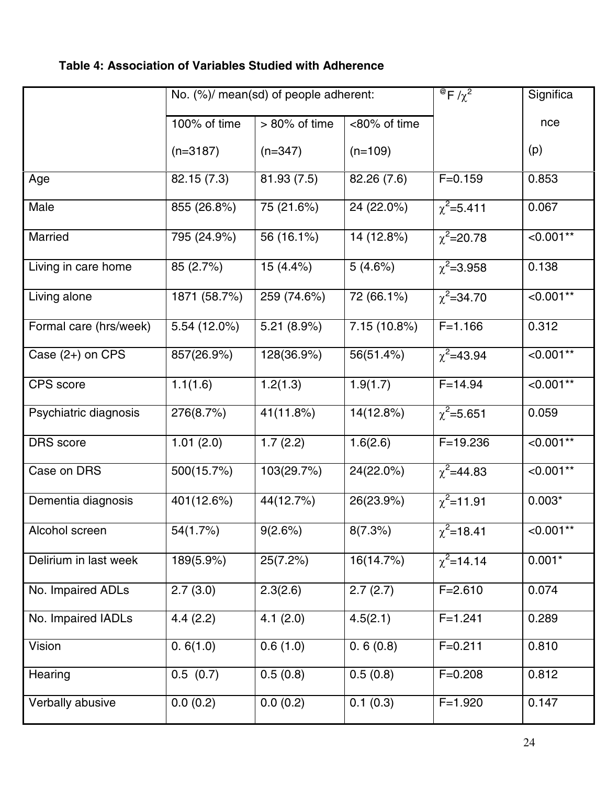# **Table 4: Association of Variables Studied with Adherence**

|                        |              | No. (%)/ mean(sd) of people adherent: |                | $^{\circledR}$ F/ $\chi^2$ | Significa   |
|------------------------|--------------|---------------------------------------|----------------|----------------------------|-------------|
|                        | 100% of time | $> 80\%$ of time                      | <80% of time   |                            | nce         |
|                        | $(n=3187)$   | $(n=347)$                             | $(n=109)$      |                            | (p)         |
| Age                    | 82.15 (7.3)  | 81.93(7.5)                            | 82.26 (7.6)    | $F = 0.159$                | 0.853       |
| Male                   | 855 (26.8%)  | 75 (21.6%)                            | 24 (22.0%)     | $\chi^2$ =5.411            | 0.067       |
| Married                | 795 (24.9%)  | 56 (16.1%)                            | 14 (12.8%)     | $\chi^2$ =20.78            | $< 0.001**$ |
| Living in care home    | 85 (2.7%)    | 15(4.4%)                              | 5(4.6%)        | $\chi^2$ =3.958            | 0.138       |
| Living alone           | 1871 (58.7%) | 259 (74.6%)                           | 72 (66.1%)     | $\chi^2$ =34.70            | $< 0.001**$ |
| Formal care (hrs/week) | 5.54 (12.0%) | 5.21 $(8.9%)$                         | $7.15(10.8\%)$ | $F = 1.166$                | 0.312       |
| Case $(2+)$ on CPS     | 857(26.9%)   | 128(36.9%)                            | 56(51.4%)      | $\chi^2$ =43.94            | $< 0.001**$ |
| CPS score              | 1.1(1.6)     | 1.2(1.3)                              | 1.9(1.7)       | $F = 14.94$                | $< 0.001**$ |
| Psychiatric diagnosis  | 276(8.7%)    | 41(11.8%)                             | 14(12.8%)      | $\chi^2$ =5.651            | 0.059       |
| <b>DRS</b> score       | 1.01(2.0)    | 1.7(2.2)                              | 1.6(2.6)       | $F = 19.236$               | $< 0.001**$ |
| Case on DRS            | 500(15.7%)   | 103(29.7%)                            | $24(22.0\%)$   | $\chi^2$ =44.83            | $< 0.001**$ |
| Dementia diagnosis     | 401(12.6%)   | 44(12.7%)                             | 26(23.9%)      | $\chi^2$ =11.91            | $0.003*$    |
| Alcohol screen         | $54(1.7\%)$  | 9(2.6%)                               | 8(7.3%)        | $\overline{\chi^2}$ =18.41 | $< 0.001**$ |
| Delirium in last week  | 189(5.9%)    | 25(7.2%)                              | 16(14.7%)      | $\chi^2$ =14.14            | $0.001*$    |
| No. Impaired ADLs      | 2.7(3.0)     | 2.3(2.6)                              | 2.7(2.7)       | $F = 2.610$                | 0.074       |
| No. Impaired IADLs     | 4.4(2.2)     | 4.1(2.0)                              | 4.5(2.1)       | $F = 1.241$                | 0.289       |
| Vision                 | 0.6(1.0)     | 0.6(1.0)                              | 0.6(0.8)       | $F = 0.211$                | 0.810       |
| Hearing                | 0.5(0.7)     | 0.5(0.8)                              | 0.5(0.8)       | $F = 0.208$                | 0.812       |
| Verbally abusive       | 0.0(0.2)     | 0.0(0.2)                              | 0.1(0.3)       | $F = 1.920$                | 0.147       |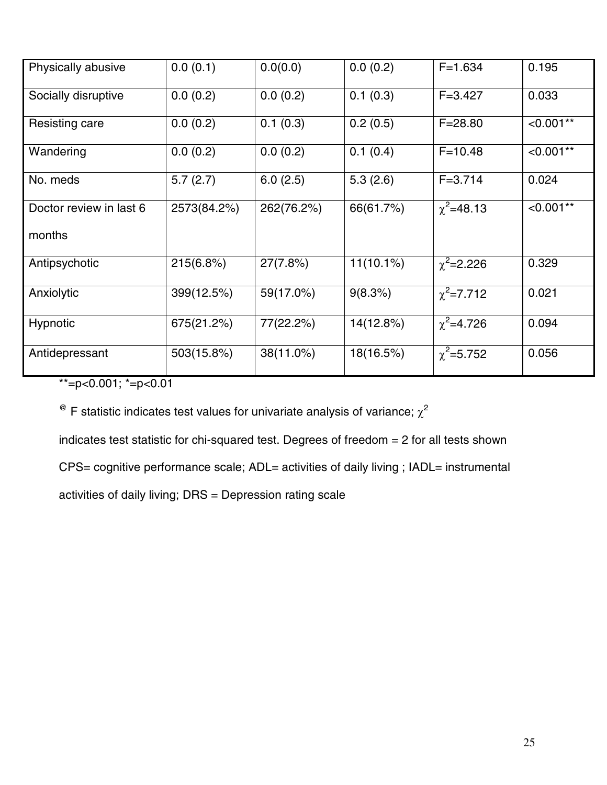| Physically abusive      | 0.0(0.1)    | 0.0(0.0)   | 0.0(0.2)     | $F = 1.634$     | 0.195       |
|-------------------------|-------------|------------|--------------|-----------------|-------------|
| Socially disruptive     | 0.0(0.2)    | 0.0(0.2)   | 0.1(0.3)     | $F = 3.427$     | 0.033       |
| Resisting care          | 0.0(0.2)    | 0.1(0.3)   | 0.2(0.5)     | $F = 28.80$     | $< 0.001**$ |
| Wandering               | 0.0(0.2)    | 0.0(0.2)   | 0.1(0.4)     | $F = 10.48$     | $< 0.001**$ |
| No. meds                | 5.7(2.7)    | 6.0(2.5)   | 5.3(2.6)     | $F = 3.714$     | 0.024       |
| Doctor review in last 6 | 2573(84.2%) | 262(76.2%) | 66(61.7%)    | $\chi^2$ =48.13 | $< 0.001**$ |
| months                  |             |            |              |                 |             |
| Antipsychotic           | 215(6.8%)   | 27(7.8%)   | $11(10.1\%)$ | $\chi^2$ =2.226 | 0.329       |
| Anxiolytic              | 399(12.5%)  | 59(17.0%)  | 9(8.3%)      | $\chi^2$ =7.712 | 0.021       |
| <b>Hypnotic</b>         | 675(21.2%)  | 77(22.2%)  | 14(12.8%)    | $\chi^2$ =4.726 | 0.094       |
| Antidepressant          | 503(15.8%)  | 38(11.0%)  | 18(16.5%)    | $\chi^2$ =5.752 | 0.056       |

 $* = p < 0.001$ ;  $* = p < 0.01$ 

 $^{\circledR}$  F statistic indicates test values for univariate analysis of variance;  $\chi^2$ 

indicates test statistic for chi-squared test. Degrees of freedom = 2 for all tests shown

CPS= cognitive performance scale; ADL= activities of daily living ; IADL= instrumental

activities of daily living; DRS = Depression rating scale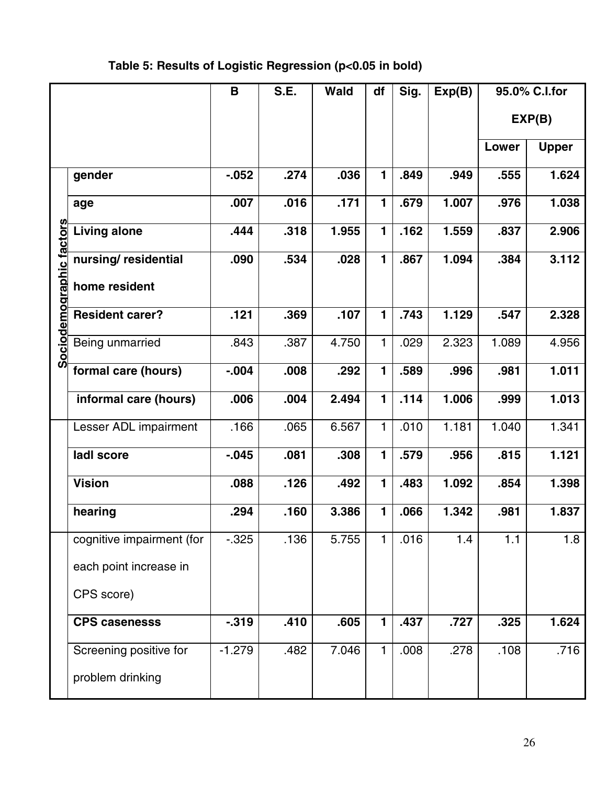# **Table 5: Results of Logistic Regression (p<0.05 in bold)**

|                          |                           | $\mathbf B$ | S.E. | <b>Wald</b> | df           | Sig. | Exp(B) |       | 95.0% C.I.for |
|--------------------------|---------------------------|-------------|------|-------------|--------------|------|--------|-------|---------------|
|                          |                           |             |      |             |              |      |        |       | EXP(B)        |
|                          |                           |             |      |             |              |      |        | Lower | <b>Upper</b>  |
|                          | gender                    | $-0.052$    | .274 | .036        | $\mathbf{1}$ | .849 | .949   | .555  | 1.624         |
|                          | age                       | .007        | .016 | .171        | 1            | .679 | 1.007  | .976  | 1.038         |
|                          | <b>Living alone</b>       | .444        | .318 | 1.955       | 1            | .162 | 1.559  | .837  | 2.906         |
|                          | nursing/residential       | .090        | .534 | .028        | 1            | .867 | 1.094  | .384  | 3.112         |
| Sociodemographic factors | home resident             |             |      |             |              |      |        |       |               |
|                          | <b>Resident carer?</b>    | .121        | .369 | .107        | $\mathbf{1}$ | .743 | 1.129  | .547  | 2.328         |
|                          | Being unmarried           | .843        | .387 | 4.750       | 1            | .029 | 2.323  | 1.089 | 4.956         |
|                          | formal care (hours)       | $-0.004$    | .008 | .292        | $\mathbf 1$  | .589 | .996   | .981  | 1.011         |
|                          | informal care (hours)     | .006        | .004 | 2.494       | 1            | .114 | 1.006  | .999  | 1.013         |
|                          | Lesser ADL impairment     | .166        | .065 | 6.567       | 1            | .010 | 1.181  | 1.040 | 1.341         |
|                          | ladl score                | $-0.045$    | .081 | .308        | $\mathbf{1}$ | .579 | .956   | .815  | 1.121         |
|                          | <b>Vision</b>             | .088        | .126 | .492        | $\mathbf{1}$ | .483 | 1.092  | .854  | 1.398         |
|                          | hearing                   | .294        | .160 | 3.386       | 1            | .066 | 1.342  | .981  | 1.837         |
|                          | cognitive impairment (for | $-0.325$    | .136 | 5.755       | 1            | .016 | 1.4    | 1.1   | 1.8           |
|                          | each point increase in    |             |      |             |              |      |        |       |               |
|                          | CPS score)                |             |      |             |              |      |        |       |               |
|                          | <b>CPS casenesss</b>      | $-0.319$    | .410 | .605        | 1            | .437 | .727   | .325  | 1.624         |
|                          | Screening positive for    | $-1.279$    | .482 | 7.046       | $\mathbf{1}$ | .008 | .278   | .108  | .716          |
|                          | problem drinking          |             |      |             |              |      |        |       |               |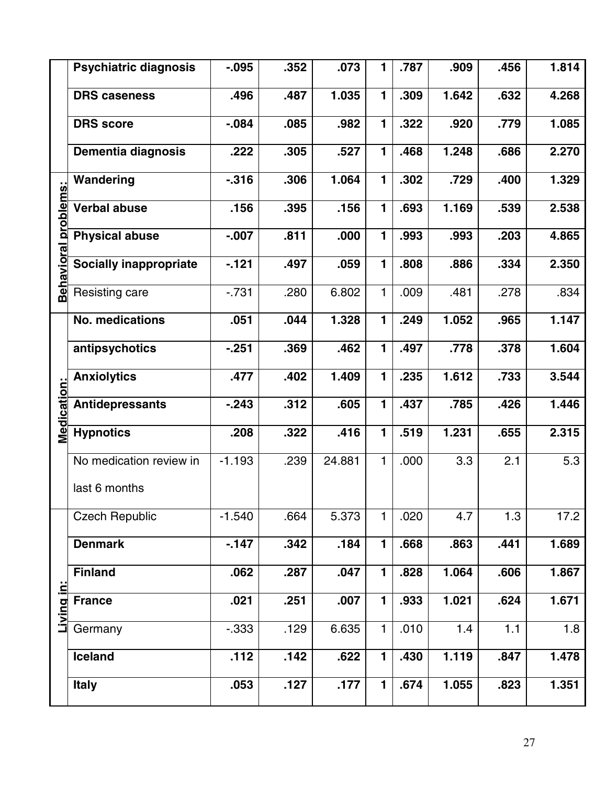|                   | <b>Psychiatric diagnosis</b>  | $-0.095$ | .352 | .073   | 1            | .787 | .909  | .456 | 1.814 |
|-------------------|-------------------------------|----------|------|--------|--------------|------|-------|------|-------|
|                   | <b>DRS caseness</b>           | .496     | .487 | 1.035  | 1            | .309 | 1.642 | .632 | 4.268 |
|                   | <b>DRS</b> score              | $-0.084$ | .085 | .982   | 1            | .322 | .920  | .779 | 1.085 |
|                   | <b>Dementia diagnosis</b>     | .222     | .305 | .527   | 1            | .468 | 1.248 | .686 | 2.270 |
|                   | Wandering                     | $-0.316$ | .306 | 1.064  | 1            | .302 | .729  | .400 | 1.329 |
| problems:         | <b>Verbal abuse</b>           | .156     | .395 | .156   | 1            | .693 | 1.169 | .539 | 2.538 |
|                   | <b>Physical abuse</b>         | $-0.007$ | .811 | .000   | 1            | .993 | .993  | .203 | 4.865 |
| <u>Behavioral</u> | <b>Socially inappropriate</b> | $-121$   | .497 | .059   | 1            | .808 | .886  | .334 | 2.350 |
|                   | Resisting care                | $-0.731$ | .280 | 6.802  | 1            | .009 | .481  | .278 | .834  |
|                   | <b>No. medications</b>        | .051     | .044 | 1.328  | 1            | .249 | 1.052 | .965 | 1.147 |
|                   | antipsychotics                | $-251$   | .369 | .462   | $\mathbf{1}$ | .497 | .778  | .378 | 1.604 |
|                   | <b>Anxiolytics</b>            | .477     | .402 | 1.409  | 1            | .235 | 1.612 | .733 | 3.544 |
| Medication        | <b>Antidepressants</b>        | $-243$   | .312 | .605   | 1            | .437 | .785  | .426 | 1.446 |
|                   | <b>Hypnotics</b>              | .208     | .322 | .416   | 1            | .519 | 1.231 | .655 | 2.315 |
|                   | No medication review in       | $-1.193$ | .239 | 24.881 | 1            | .000 | 3.3   | 2.1  | 5.3   |
|                   | last 6 months                 |          |      |        |              |      |       |      |       |
|                   | <b>Czech Republic</b>         | $-1.540$ | .664 | 5.373  | 1            | .020 | 4.7   | 1.3  | 17.2  |
|                   | <b>Denmark</b>                | $-147$   | .342 | .184   | $\mathbf{1}$ | .668 | .863  | .441 | 1.689 |
|                   | <b>Finland</b>                | .062     | .287 | .047   | $\mathbf{1}$ | .828 | 1.064 | .606 | 1.867 |
| Living in:        | <b>France</b>                 | .021     | .251 | .007   | 1            | .933 | 1.021 | .624 | 1.671 |
|                   | Germany                       | $-0.333$ | .129 | 6.635  | $\mathbf{1}$ | .010 | 1.4   | 1.1  | 1.8   |
|                   | Iceland                       | .112     | .142 | .622   | $\mathbf{1}$ | .430 | 1.119 | .847 | 1.478 |
|                   | <b>Italy</b>                  | .053     | .127 | .177   | $\mathbf{1}$ | .674 | 1.055 | .823 | 1.351 |